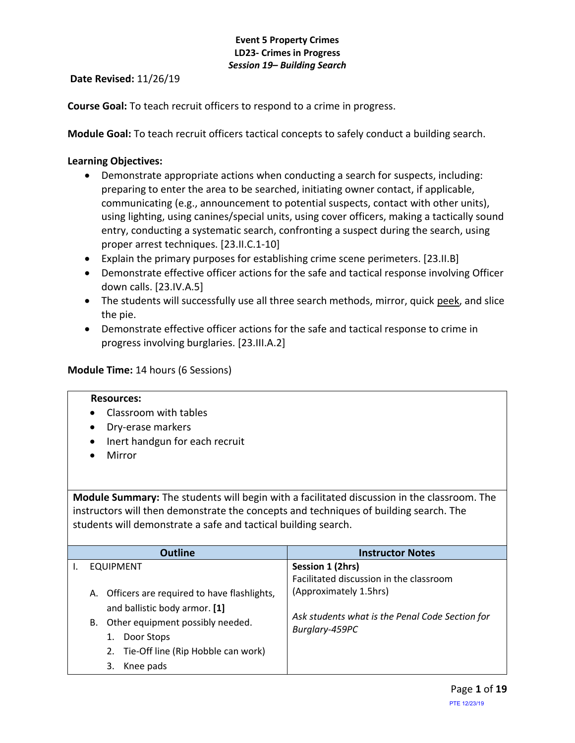**Date Revised:** 11/26/19

**Course Goal:** To teach recruit officers to respond to a crime in progress.

**Module Goal:** To teach recruit officers tactical concepts to safely conduct a building search.

## **Learning Objectives:**

- Demonstrate appropriate actions when conducting a search for suspects, including: preparing to enter the area to be searched, initiating owner contact, if applicable, communicating (e.g., announcement to potential suspects, contact with other units), using lighting, using canines/special units, using cover officers, making a tactically sound entry, conducting a systematic search, confronting a suspect during the search, using proper arrest techniques. [23.II.C.1-10]
- Explain the primary purposes for establishing crime scene perimeters. [23.II.B]
- Demonstrate effective officer actions for the safe and tactical response involving Officer down calls. [23.IV.A.5]
- The students will successfully use all three search methods, mirror, quick peek, and slice the pie.
- Demonstrate effective officer actions for the safe and tactical response to crime in progress involving burglaries. [23.III.A.2]

### **Module Time:** 14 hours (6 Sessions)

#### **Resources:**

- Classroom with tables
- Dry-erase markers
- Inert handgun for each recruit
- Mirror

**Module Summary:** The students will begin with a facilitated discussion in the classroom. The instructors will then demonstrate the concepts and techniques of building search. The students will demonstrate a safe and tactical building search.

| <b>Outline</b>                                | <b>Instructor Notes</b>                         |
|-----------------------------------------------|-------------------------------------------------|
| <b>EQUIPMENT</b>                              | Session 1 (2hrs)                                |
|                                               | Facilitated discussion in the classroom         |
| A. Officers are required to have flashlights, | (Approximately 1.5hrs)                          |
| and ballistic body armor. [1]                 |                                                 |
| Other equipment possibly needed.<br>В.        | Ask students what is the Penal Code Section for |
| Door Stops                                    | Burglary-459PC                                  |
| 2. Tie-Off line (Rip Hobble can work)         |                                                 |
| Knee pads                                     |                                                 |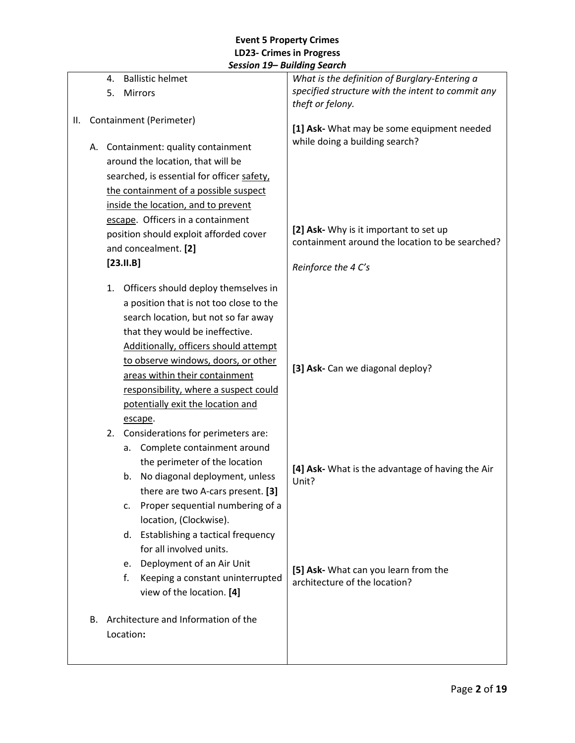|    |    | 4. | <b>Ballistic helmet</b>                    | What is the definition of Burglary-Entering a                                             |
|----|----|----|--------------------------------------------|-------------------------------------------------------------------------------------------|
|    |    | 5. | Mirrors                                    | specified structure with the intent to commit any                                         |
|    |    |    |                                            | theft or felony.                                                                          |
| Ш. |    |    | Containment (Perimeter)                    | [1] Ask- What may be some equipment needed                                                |
|    |    |    |                                            | while doing a building search?                                                            |
|    |    |    | A. Containment: quality containment        |                                                                                           |
|    |    |    | around the location, that will be          |                                                                                           |
|    |    |    | searched, is essential for officer safety, |                                                                                           |
|    |    |    | the containment of a possible suspect      |                                                                                           |
|    |    |    | inside the location, and to prevent        |                                                                                           |
|    |    |    | escape. Officers in a containment          |                                                                                           |
|    |    |    | position should exploit afforded cover     | [2] Ask- Why is it important to set up<br>containment around the location to be searched? |
|    |    |    | and concealment. [2]                       |                                                                                           |
|    |    |    | $[23.11.B]$                                | Reinforce the 4 C's                                                                       |
|    |    | 1. | Officers should deploy themselves in       |                                                                                           |
|    |    |    | a position that is not too close to the    |                                                                                           |
|    |    |    | search location, but not so far away       |                                                                                           |
|    |    |    | that they would be ineffective.            |                                                                                           |
|    |    |    | Additionally, officers should attempt      |                                                                                           |
|    |    |    | to observe windows, doors, or other        |                                                                                           |
|    |    |    | areas within their containment             | [3] Ask- Can we diagonal deploy?                                                          |
|    |    |    | responsibility, where a suspect could      |                                                                                           |
|    |    |    | potentially exit the location and          |                                                                                           |
|    |    |    | escape.                                    |                                                                                           |
|    |    | 2. | Considerations for perimeters are:         |                                                                                           |
|    |    |    | Complete containment around<br>а.          |                                                                                           |
|    |    |    | the perimeter of the location              | [4] Ask- What is the advantage of having the Air                                          |
|    |    |    | No diagonal deployment, unless<br>b.       | Unit?                                                                                     |
|    |    |    | there are two A-cars present. [3]          |                                                                                           |
|    |    |    | Proper sequential numbering of a<br>c.     |                                                                                           |
|    |    |    | location, (Clockwise).                     |                                                                                           |
|    |    |    | Establishing a tactical frequency<br>d.    |                                                                                           |
|    |    |    | for all involved units.                    |                                                                                           |
|    |    |    | Deployment of an Air Unit<br>e.            |                                                                                           |
|    |    |    | Keeping a constant uninterrupted<br>f.     | [5] Ask- What can you learn from the<br>architecture of the location?                     |
|    |    |    | view of the location. [4]                  |                                                                                           |
|    | В. |    | Architecture and Information of the        |                                                                                           |
|    |    |    | Location:                                  |                                                                                           |
|    |    |    |                                            |                                                                                           |
|    |    |    |                                            |                                                                                           |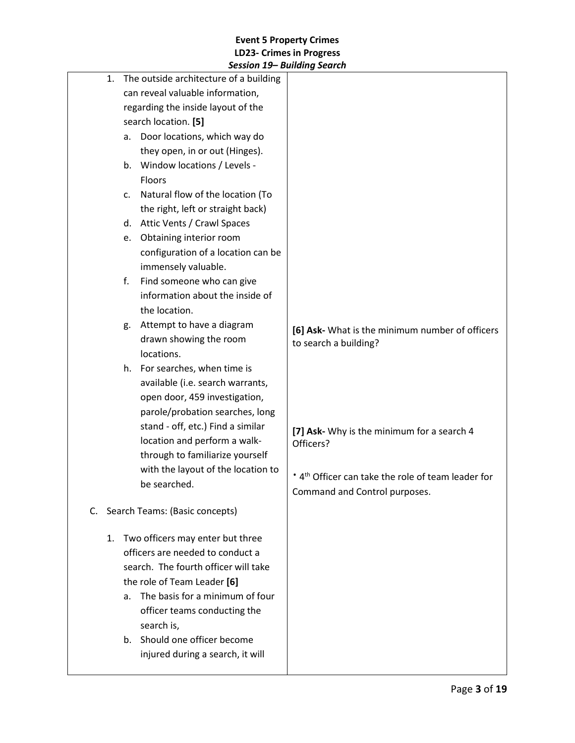|          | JESSIUII 13– DUIIUIIIY JEUIUII                                                                                                                                                                                                                                                                                                                                                                                                                                                                                                     |                                                                                                                                                                                                                                        |
|----------|------------------------------------------------------------------------------------------------------------------------------------------------------------------------------------------------------------------------------------------------------------------------------------------------------------------------------------------------------------------------------------------------------------------------------------------------------------------------------------------------------------------------------------|----------------------------------------------------------------------------------------------------------------------------------------------------------------------------------------------------------------------------------------|
| 1.       | The outside architecture of a building<br>can reveal valuable information,<br>regarding the inside layout of the<br>search location. [5]<br>Door locations, which way do<br>a.<br>they open, in or out (Hinges).<br>Window locations / Levels -<br>b.<br><b>Floors</b><br>Natural flow of the location (To<br>C.<br>the right, left or straight back)                                                                                                                                                                              |                                                                                                                                                                                                                                        |
|          | d. Attic Vents / Crawl Spaces<br>Obtaining interior room<br>e.                                                                                                                                                                                                                                                                                                                                                                                                                                                                     |                                                                                                                                                                                                                                        |
|          | configuration of a location can be<br>immensely valuable.<br>Find someone who can give<br>f.<br>information about the inside of<br>the location.<br>Attempt to have a diagram<br>g.<br>drawn showing the room<br>locations.<br>h. For searches, when time is<br>available (i.e. search warrants,<br>open door, 459 investigation,<br>parole/probation searches, long<br>stand - off, etc.) Find a similar<br>location and perform a walk-<br>through to familiarize yourself<br>with the layout of the location to<br>be searched. | [6] Ask- What is the minimum number of officers<br>to search a building?<br>[7] Ask- Why is the minimum for a search 4<br>Officers?<br>* 4 <sup>th</sup> Officer can take the role of team leader for<br>Command and Control purposes. |
| C.<br>1. | Search Teams: (Basic concepts)<br>Two officers may enter but three<br>officers are needed to conduct a<br>search. The fourth officer will take<br>the role of Team Leader [6]<br>The basis for a minimum of four<br>a.<br>officer teams conducting the<br>search is,<br>Should one officer become<br>b.<br>injured during a search, it will                                                                                                                                                                                        |                                                                                                                                                                                                                                        |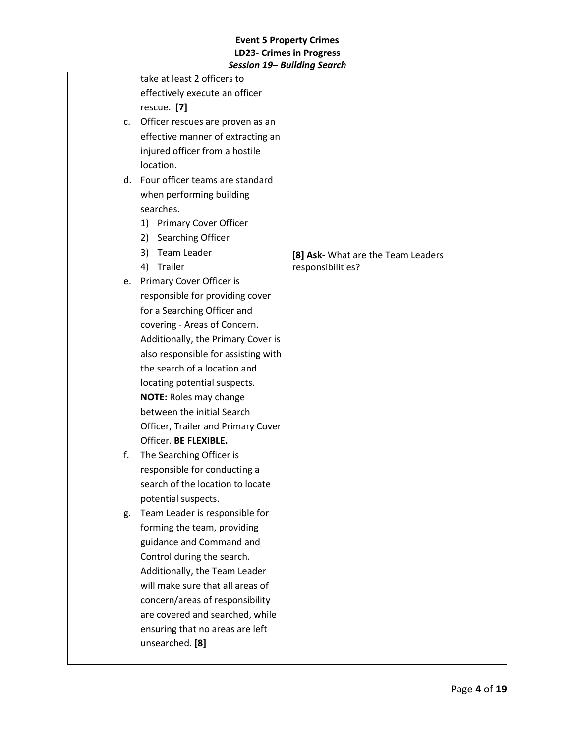|    | session 15 Bunding Search           |                                    |
|----|-------------------------------------|------------------------------------|
|    | take at least 2 officers to         |                                    |
|    | effectively execute an officer      |                                    |
|    | rescue. [7]                         |                                    |
| c. | Officer rescues are proven as an    |                                    |
|    | effective manner of extracting an   |                                    |
|    | injured officer from a hostile      |                                    |
|    | location.                           |                                    |
|    | d. Four officer teams are standard  |                                    |
|    | when performing building            |                                    |
|    | searches.                           |                                    |
|    | <b>Primary Cover Officer</b><br>1)  |                                    |
|    | Searching Officer<br>2)             |                                    |
|    | Team Leader<br>3)                   | [8] Ask- What are the Team Leaders |
|    | Trailer<br>4)                       | responsibilities?                  |
|    | e. Primary Cover Officer is         |                                    |
|    | responsible for providing cover     |                                    |
|    | for a Searching Officer and         |                                    |
|    | covering - Areas of Concern.        |                                    |
|    | Additionally, the Primary Cover is  |                                    |
|    | also responsible for assisting with |                                    |
|    | the search of a location and        |                                    |
|    | locating potential suspects.        |                                    |
|    | <b>NOTE: Roles may change</b>       |                                    |
|    | between the initial Search          |                                    |
|    | Officer, Trailer and Primary Cover  |                                    |
|    | Officer. BE FLEXIBLE.               |                                    |
| f. | The Searching Officer is            |                                    |
|    | responsible for conducting a        |                                    |
|    | search of the location to locate    |                                    |
|    | potential suspects.                 |                                    |
| g. | Team Leader is responsible for      |                                    |
|    | forming the team, providing         |                                    |
|    | guidance and Command and            |                                    |
|    | Control during the search.          |                                    |
|    | Additionally, the Team Leader       |                                    |
|    | will make sure that all areas of    |                                    |
|    | concern/areas of responsibility     |                                    |
|    | are covered and searched, while     |                                    |
|    | ensuring that no areas are left     |                                    |
|    | unsearched. [8]                     |                                    |
|    |                                     |                                    |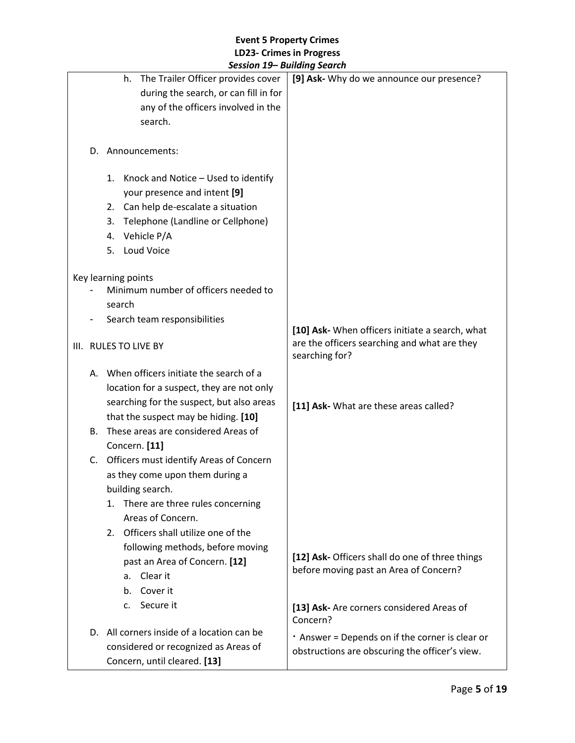|                                            | scssion 19 Dununiy Scuren                       |
|--------------------------------------------|-------------------------------------------------|
| The Trailer Officer provides cover<br>h.   | [9] Ask- Why do we announce our presence?       |
| during the search, or can fill in for      |                                                 |
| any of the officers involved in the        |                                                 |
| search.                                    |                                                 |
|                                            |                                                 |
|                                            |                                                 |
| D. Announcements:                          |                                                 |
|                                            |                                                 |
| 1. Knock and Notice - Used to identify     |                                                 |
| your presence and intent [9]               |                                                 |
| 2. Can help de-escalate a situation        |                                                 |
| Telephone (Landline or Cellphone)<br>3.    |                                                 |
| Vehicle P/A<br>4.                          |                                                 |
| Loud Voice<br>5.                           |                                                 |
|                                            |                                                 |
| Key learning points                        |                                                 |
| Minimum number of officers needed to       |                                                 |
| search                                     |                                                 |
|                                            |                                                 |
| Search team responsibilities               | [10] Ask- When officers initiate a search, what |
|                                            | are the officers searching and what are they    |
| III. RULES TO LIVE BY                      | searching for?                                  |
|                                            |                                                 |
| A. When officers initiate the search of a  |                                                 |
| location for a suspect, they are not only  |                                                 |
| searching for the suspect, but also areas  | [11] Ask- What are these areas called?          |
| that the suspect may be hiding. [10]       |                                                 |
| These areas are considered Areas of<br>В.  |                                                 |
| Concern. [11]                              |                                                 |
| C. Officers must identify Areas of Concern |                                                 |
| as they come upon them during a            |                                                 |
|                                            |                                                 |
| building search.                           |                                                 |
| There are three rules concerning<br>1.     |                                                 |
| Areas of Concern.                          |                                                 |
| 2. Officers shall utilize one of the       |                                                 |
| following methods, before moving           |                                                 |
| past an Area of Concern. [12]              | [12] Ask- Officers shall do one of three things |
| Clear it<br>а.                             | before moving past an Area of Concern?          |
| Cover it<br>b.                             |                                                 |
|                                            |                                                 |
| Secure it<br>$\mathsf{C}$ .                | [13] Ask- Are corners considered Areas of       |
|                                            | Concern?                                        |
| D. All corners inside of a location can be | . Answer = Depends on if the corner is clear or |
| considered or recognized as Areas of       | obstructions are obscuring the officer's view.  |
| Concern, until cleared. [13]               |                                                 |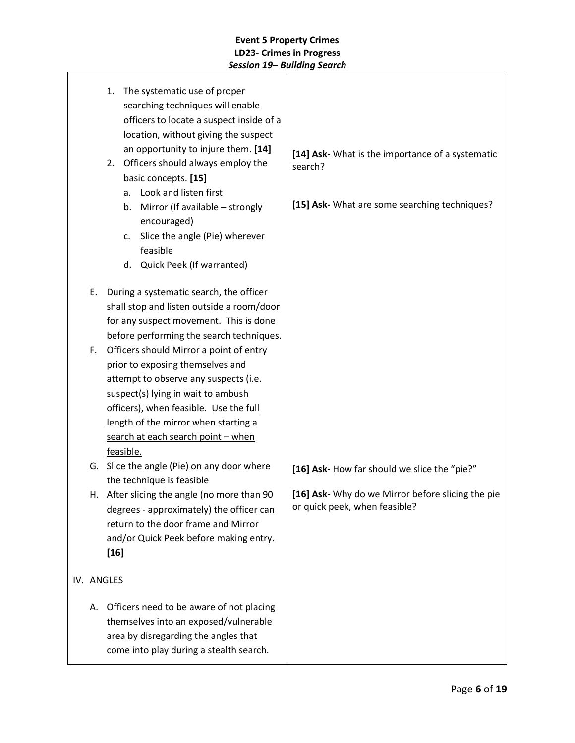|    | 1. The systematic use of proper<br>searching techniques will enable<br>officers to locate a suspect inside of a<br>location, without giving the suspect<br>an opportunity to injure them. [14]<br>2. Officers should always employ the<br>basic concepts. [15]<br>Look and listen first<br>a.<br>Mirror (If available - strongly<br>b.<br>encouraged)<br>Slice the angle (Pie) wherever<br>c.<br>feasible<br>d. Quick Peek (If warranted) | [14] Ask- What is the importance of a systematic<br>search?<br>[15] Ask- What are some searching techniques? |
|----|-------------------------------------------------------------------------------------------------------------------------------------------------------------------------------------------------------------------------------------------------------------------------------------------------------------------------------------------------------------------------------------------------------------------------------------------|--------------------------------------------------------------------------------------------------------------|
| Е. | During a systematic search, the officer<br>shall stop and listen outside a room/door<br>for any suspect movement. This is done<br>before performing the search techniques.                                                                                                                                                                                                                                                                |                                                                                                              |
| F. | Officers should Mirror a point of entry<br>prior to exposing themselves and<br>attempt to observe any suspects (i.e.<br>suspect(s) lying in wait to ambush<br>officers), when feasible. Use the full<br>length of the mirror when starting a<br>search at each search point - when<br>feasible.                                                                                                                                           |                                                                                                              |
|    | G. Slice the angle (Pie) on any door where                                                                                                                                                                                                                                                                                                                                                                                                | [16] Ask- How far should we slice the "pie?"                                                                 |
|    | the technique is feasible<br>H. After slicing the angle (no more than 90<br>degrees - approximately) the officer can<br>return to the door frame and Mirror<br>and/or Quick Peek before making entry.<br>$[16]$                                                                                                                                                                                                                           | [16] Ask- Why do we Mirror before slicing the pie<br>or quick peek, when feasible?                           |
|    | IV. ANGLES                                                                                                                                                                                                                                                                                                                                                                                                                                |                                                                                                              |
| А. | Officers need to be aware of not placing<br>themselves into an exposed/vulnerable<br>area by disregarding the angles that<br>come into play during a stealth search.                                                                                                                                                                                                                                                                      |                                                                                                              |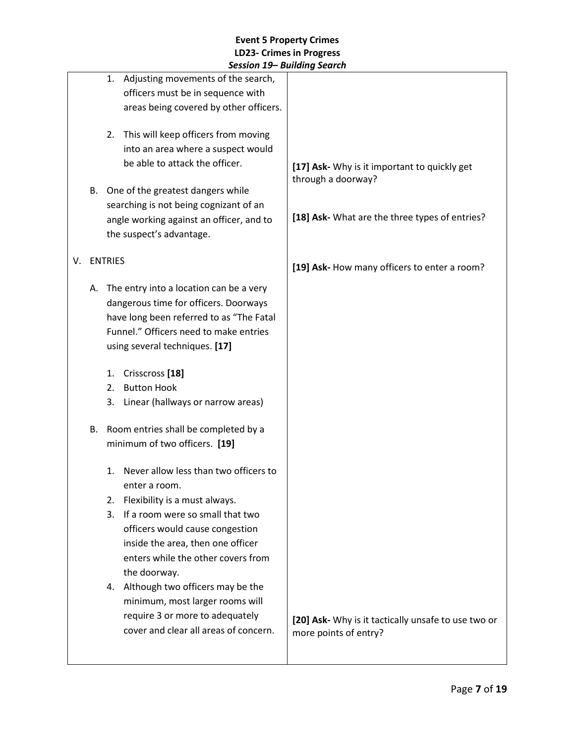|    |    | JESSIUII 1 <i>3</i> – DUIIUIIIŲ JEUIUII                                                                                 |                                                                    |
|----|----|-------------------------------------------------------------------------------------------------------------------------|--------------------------------------------------------------------|
|    |    | Adjusting movements of the search,<br>1.<br>officers must be in sequence with<br>areas being covered by other officers. |                                                                    |
|    |    | 2. This will keep officers from moving<br>into an area where a suspect would                                            |                                                                    |
|    |    | be able to attack the officer.                                                                                          | [17] Ask- Why is it important to quickly get<br>through a doorway? |
|    | В. | One of the greatest dangers while                                                                                       |                                                                    |
|    |    | searching is not being cognizant of an                                                                                  |                                                                    |
|    |    | angle working against an officer, and to<br>the suspect's advantage.                                                    | [18] Ask- What are the three types of entries?                     |
| V. |    | <b>ENTRIES</b>                                                                                                          |                                                                    |
|    |    |                                                                                                                         | [19] Ask- How many officers to enter a room?                       |
|    | А. | The entry into a location can be a very                                                                                 |                                                                    |
|    |    | dangerous time for officers. Doorways                                                                                   |                                                                    |
|    |    | have long been referred to as "The Fatal<br>Funnel." Officers need to make entries                                      |                                                                    |
|    |    | using several techniques. [17]                                                                                          |                                                                    |
|    |    |                                                                                                                         |                                                                    |
|    |    | Crisscross <sup>[18]</sup><br>1.                                                                                        |                                                                    |
|    |    | <b>Button Hook</b><br>2.                                                                                                |                                                                    |
|    |    | Linear (hallways or narrow areas)<br>3.                                                                                 |                                                                    |
|    | В. | Room entries shall be completed by a                                                                                    |                                                                    |
|    |    | minimum of two officers. [19]                                                                                           |                                                                    |
|    |    | Never allow less than two officers to<br>1.                                                                             |                                                                    |
|    |    | enter a room.                                                                                                           |                                                                    |
|    |    | Flexibility is a must always.<br>2.<br>If a room were so small that two<br>3.                                           |                                                                    |
|    |    | officers would cause congestion                                                                                         |                                                                    |
|    |    | inside the area, then one officer                                                                                       |                                                                    |
|    |    | enters while the other covers from                                                                                      |                                                                    |
|    |    | the doorway.                                                                                                            |                                                                    |
|    |    | 4. Although two officers may be the                                                                                     |                                                                    |
|    |    | minimum, most larger rooms will                                                                                         |                                                                    |
|    |    | require 3 or more to adequately                                                                                         | [20] Ask- Why is it tactically unsafe to use two or                |
|    |    | cover and clear all areas of concern.                                                                                   | more points of entry?                                              |
|    |    |                                                                                                                         |                                                                    |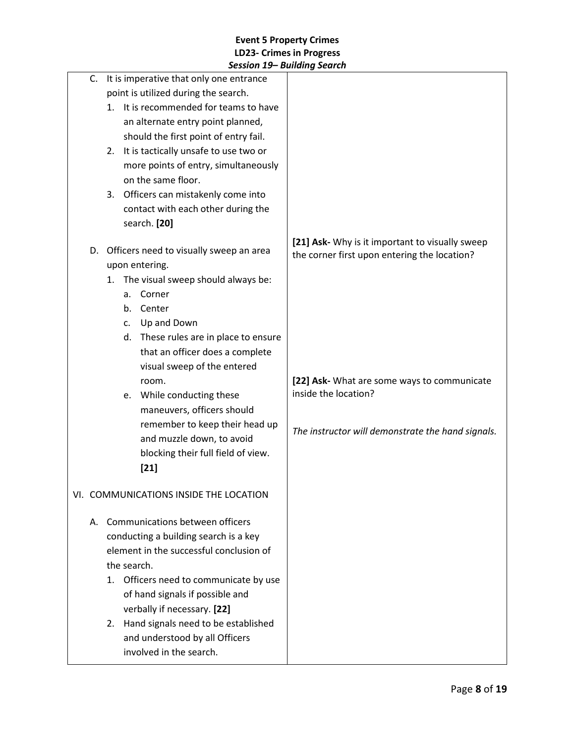|                                         |                                            |    | Jessiun 19– Dununiy Jeurun                 |                                                                                                 |
|-----------------------------------------|--------------------------------------------|----|--------------------------------------------|-------------------------------------------------------------------------------------------------|
|                                         | C. It is imperative that only one entrance |    |                                            |                                                                                                 |
|                                         |                                            |    | point is utilized during the search.       |                                                                                                 |
|                                         | It is recommended for teams to have<br>1.  |    |                                            |                                                                                                 |
|                                         | an alternate entry point planned,          |    |                                            |                                                                                                 |
|                                         |                                            |    | should the first point of entry fail.      |                                                                                                 |
|                                         | 2.                                         |    | It is tactically unsafe to use two or      |                                                                                                 |
|                                         |                                            |    | more points of entry, simultaneously       |                                                                                                 |
|                                         |                                            |    | on the same floor.                         |                                                                                                 |
|                                         |                                            |    | 3. Officers can mistakenly come into       |                                                                                                 |
|                                         |                                            |    | contact with each other during the         |                                                                                                 |
|                                         |                                            |    | search. [20]                               |                                                                                                 |
|                                         |                                            |    | D. Officers need to visually sweep an area | [21] Ask- Why is it important to visually sweep<br>the corner first upon entering the location? |
|                                         |                                            |    | upon entering.                             |                                                                                                 |
|                                         | 1.                                         |    | The visual sweep should always be:         |                                                                                                 |
|                                         |                                            | a. | Corner                                     |                                                                                                 |
|                                         |                                            |    | b. Center                                  |                                                                                                 |
|                                         |                                            | C. | Up and Down                                |                                                                                                 |
|                                         |                                            |    | d. These rules are in place to ensure      |                                                                                                 |
|                                         |                                            |    | that an officer does a complete            |                                                                                                 |
|                                         |                                            |    | visual sweep of the entered                |                                                                                                 |
|                                         |                                            |    | room.                                      | [22] Ask- What are some ways to communicate                                                     |
|                                         |                                            |    | e. While conducting these                  | inside the location?                                                                            |
|                                         |                                            |    | maneuvers, officers should                 |                                                                                                 |
|                                         |                                            |    | remember to keep their head up             |                                                                                                 |
|                                         |                                            |    | and muzzle down, to avoid                  | The instructor will demonstrate the hand signals.                                               |
|                                         |                                            |    | blocking their full field of view.         |                                                                                                 |
|                                         |                                            |    | $[21]$                                     |                                                                                                 |
|                                         |                                            |    |                                            |                                                                                                 |
|                                         |                                            |    | VI. COMMUNICATIONS INSIDE THE LOCATION     |                                                                                                 |
|                                         | A. Communications between officers         |    |                                            |                                                                                                 |
|                                         |                                            |    | conducting a building search is a key      |                                                                                                 |
| element in the successful conclusion of |                                            |    |                                            |                                                                                                 |
|                                         | the search.                                |    |                                            |                                                                                                 |
|                                         | 1.                                         |    | Officers need to communicate by use        |                                                                                                 |
|                                         |                                            |    | of hand signals if possible and            |                                                                                                 |
|                                         |                                            |    | verbally if necessary. [22]                |                                                                                                 |
|                                         | 2.                                         |    | Hand signals need to be established        |                                                                                                 |
|                                         |                                            |    | and understood by all Officers             |                                                                                                 |
|                                         |                                            |    | involved in the search.                    |                                                                                                 |
|                                         |                                            |    |                                            |                                                                                                 |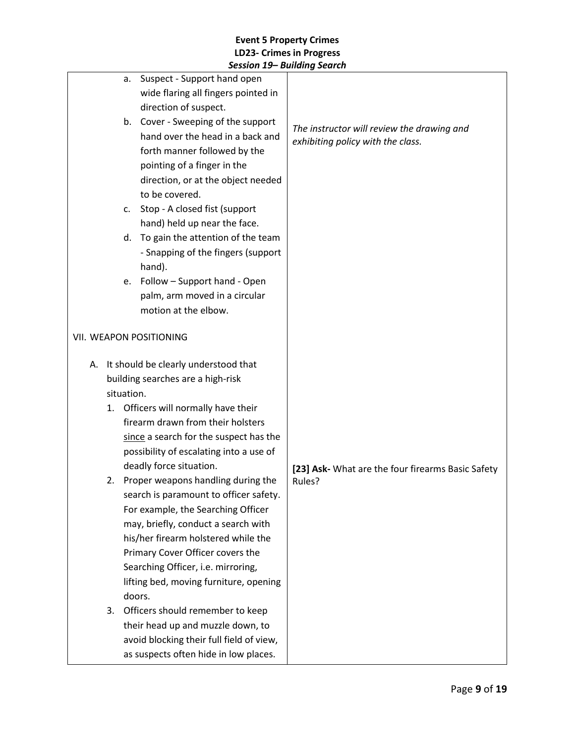|                                         | a.         | Suspect - Support hand open              |                                                   |
|-----------------------------------------|------------|------------------------------------------|---------------------------------------------------|
|                                         |            | wide flaring all fingers pointed in      |                                                   |
|                                         |            | direction of suspect.                    |                                                   |
|                                         | b.         | Cover - Sweeping of the support          | The instructor will review the drawing and        |
|                                         |            | hand over the head in a back and         | exhibiting policy with the class.                 |
|                                         |            | forth manner followed by the             |                                                   |
|                                         |            | pointing of a finger in the              |                                                   |
|                                         |            | direction, or at the object needed       |                                                   |
|                                         |            | to be covered.                           |                                                   |
|                                         | c.         | Stop - A closed fist (support            |                                                   |
|                                         |            | hand) held up near the face.             |                                                   |
|                                         | d.         | To gain the attention of the team        |                                                   |
|                                         |            | - Snapping of the fingers (support       |                                                   |
|                                         |            | hand).                                   |                                                   |
|                                         | e.         | Follow - Support hand - Open             |                                                   |
|                                         |            | palm, arm moved in a circular            |                                                   |
|                                         |            | motion at the elbow.                     |                                                   |
|                                         |            |                                          |                                                   |
|                                         |            | VII. WEAPON POSITIONING                  |                                                   |
|                                         |            |                                          |                                                   |
|                                         |            | A. It should be clearly understood that  |                                                   |
|                                         |            | building searches are a high-risk        |                                                   |
|                                         | situation. |                                          |                                                   |
| Officers will normally have their<br>1. |            |                                          |                                                   |
|                                         |            | firearm drawn from their holsters        |                                                   |
|                                         |            | since a search for the suspect has the   |                                                   |
|                                         |            | possibility of escalating into a use of  |                                                   |
|                                         |            | deadly force situation.                  | [23] Ask- What are the four firearms Basic Safety |
|                                         |            | 2. Proper weapons handling during the    | Rules?                                            |
|                                         |            | search is paramount to officer safety.   |                                                   |
|                                         |            | For example, the Searching Officer       |                                                   |
|                                         |            | may, briefly, conduct a search with      |                                                   |
|                                         |            | his/her firearm holstered while the      |                                                   |
|                                         |            | Primary Cover Officer covers the         |                                                   |
|                                         |            | Searching Officer, i.e. mirroring,       |                                                   |
|                                         |            | lifting bed, moving furniture, opening   |                                                   |
|                                         |            | doors.                                   |                                                   |
| 3.                                      |            | Officers should remember to keep         |                                                   |
|                                         |            | their head up and muzzle down, to        |                                                   |
|                                         |            | avoid blocking their full field of view, |                                                   |
|                                         |            | as suspects often hide in low places.    |                                                   |
|                                         |            |                                          |                                                   |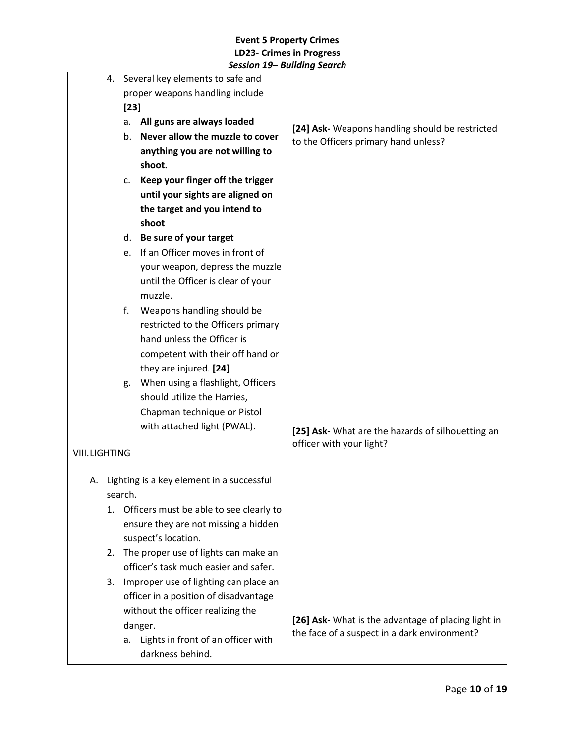|                      |    | 4. Several key elements to safe and |                                              |                                                                                         |
|----------------------|----|-------------------------------------|----------------------------------------------|-----------------------------------------------------------------------------------------|
|                      |    |                                     | proper weapons handling include              |                                                                                         |
|                      |    | $[23]$                              |                                              |                                                                                         |
|                      |    | All guns are always loaded<br>а.    |                                              |                                                                                         |
|                      |    | b.                                  | Never allow the muzzle to cover              | [24] Ask- Weapons handling should be restricted<br>to the Officers primary hand unless? |
|                      |    |                                     | anything you are not willing to              |                                                                                         |
|                      |    |                                     | shoot.                                       |                                                                                         |
|                      |    | c.                                  | Keep your finger off the trigger             |                                                                                         |
|                      |    |                                     | until your sights are aligned on             |                                                                                         |
|                      |    |                                     | the target and you intend to                 |                                                                                         |
|                      |    |                                     | shoot                                        |                                                                                         |
|                      |    | d.                                  | Be sure of your target                       |                                                                                         |
|                      |    | e.                                  | If an Officer moves in front of              |                                                                                         |
|                      |    |                                     | your weapon, depress the muzzle              |                                                                                         |
|                      |    |                                     | until the Officer is clear of your           |                                                                                         |
|                      |    |                                     | muzzle.                                      |                                                                                         |
|                      |    | f.                                  | Weapons handling should be                   |                                                                                         |
|                      |    |                                     | restricted to the Officers primary           |                                                                                         |
|                      |    |                                     | hand unless the Officer is                   |                                                                                         |
|                      |    |                                     | competent with their off hand or             |                                                                                         |
|                      |    |                                     | they are injured. [24]                       |                                                                                         |
|                      |    | g.                                  | When using a flashlight, Officers            |                                                                                         |
|                      |    |                                     | should utilize the Harries,                  |                                                                                         |
|                      |    |                                     | Chapman technique or Pistol                  |                                                                                         |
|                      |    |                                     | with attached light (PWAL).                  | [25] Ask- What are the hazards of silhouetting an                                       |
|                      |    |                                     |                                              | officer with your light?                                                                |
| <b>VIII.LIGHTING</b> |    |                                     |                                              |                                                                                         |
|                      |    |                                     | A. Lighting is a key element in a successful |                                                                                         |
|                      |    | search.                             |                                              |                                                                                         |
|                      | 1. |                                     | Officers must be able to see clearly to      |                                                                                         |
|                      |    |                                     | ensure they are not missing a hidden         |                                                                                         |
|                      |    |                                     | suspect's location.                          |                                                                                         |
|                      | 2. |                                     | The proper use of lights can make an         |                                                                                         |
|                      |    |                                     | officer's task much easier and safer.        |                                                                                         |
|                      | 3. |                                     | Improper use of lighting can place an        |                                                                                         |
|                      |    |                                     | officer in a position of disadvantage        |                                                                                         |
|                      |    |                                     | without the officer realizing the            |                                                                                         |
|                      |    |                                     | danger.                                      | [26] Ask- What is the advantage of placing light in                                     |
|                      |    | a.                                  | Lights in front of an officer with           | the face of a suspect in a dark environment?                                            |
|                      |    |                                     | darkness behind.                             |                                                                                         |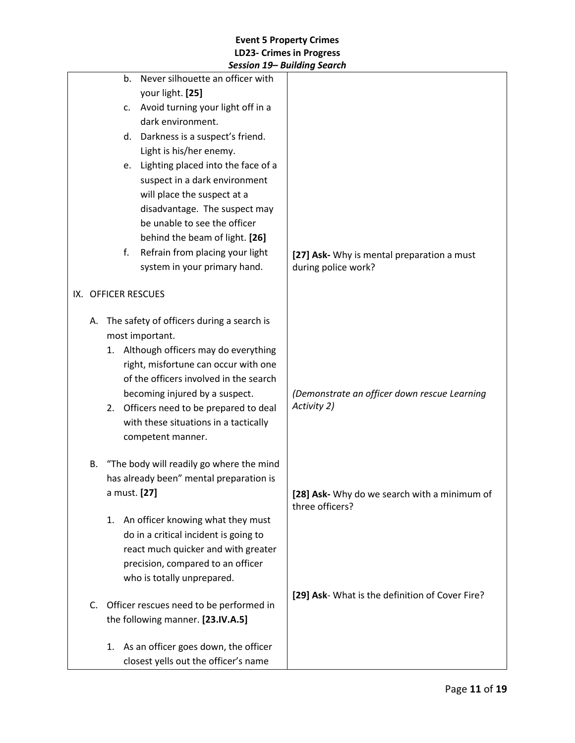|    |                     | Session 19– Building Search               |                                                 |
|----|---------------------|-------------------------------------------|-------------------------------------------------|
|    | b.                  | Never silhouette an officer with          |                                                 |
|    |                     | your light. [25]                          |                                                 |
|    | c.                  | Avoid turning your light off in a         |                                                 |
|    |                     | dark environment.                         |                                                 |
|    | d.                  | Darkness is a suspect's friend.           |                                                 |
|    |                     | Light is his/her enemy.                   |                                                 |
|    | e.                  | Lighting placed into the face of a        |                                                 |
|    |                     | suspect in a dark environment             |                                                 |
|    |                     | will place the suspect at a               |                                                 |
|    |                     | disadvantage. The suspect may             |                                                 |
|    |                     | be unable to see the officer              |                                                 |
|    |                     | behind the beam of light. [26]            |                                                 |
|    | f.                  | Refrain from placing your light           | [27] Ask- Why is mental preparation a must      |
|    |                     | system in your primary hand.              | during police work?                             |
|    |                     |                                           |                                                 |
|    | IX. OFFICER RESCUES |                                           |                                                 |
| А. |                     | The safety of officers during a search is |                                                 |
|    |                     | most important.                           |                                                 |
|    |                     | 1. Although officers may do everything    |                                                 |
|    |                     | right, misfortune can occur with one      |                                                 |
|    |                     | of the officers involved in the search    |                                                 |
|    |                     | becoming injured by a suspect.            | (Demonstrate an officer down rescue Learning    |
|    |                     | 2. Officers need to be prepared to deal   | Activity 2)                                     |
|    |                     | with these situations in a tactically     |                                                 |
|    |                     | competent manner.                         |                                                 |
|    |                     |                                           |                                                 |
| В. |                     | "The body will readily go where the mind  |                                                 |
|    |                     | has already been" mental preparation is   |                                                 |
|    | a must. [27]        |                                           | [28] Ask- Why do we search with a minimum of    |
|    |                     |                                           | three officers?                                 |
|    | 1.                  | An officer knowing what they must         |                                                 |
|    |                     | do in a critical incident is going to     |                                                 |
|    |                     | react much quicker and with greater       |                                                 |
|    |                     | precision, compared to an officer         |                                                 |
|    |                     | who is totally unprepared.                |                                                 |
| C. |                     | Officer rescues need to be performed in   | [29] Ask- What is the definition of Cover Fire? |
|    |                     | the following manner. [23.IV.A.5]         |                                                 |
|    |                     |                                           |                                                 |
|    | 1.                  | As an officer goes down, the officer      |                                                 |
|    |                     | closest yells out the officer's name      |                                                 |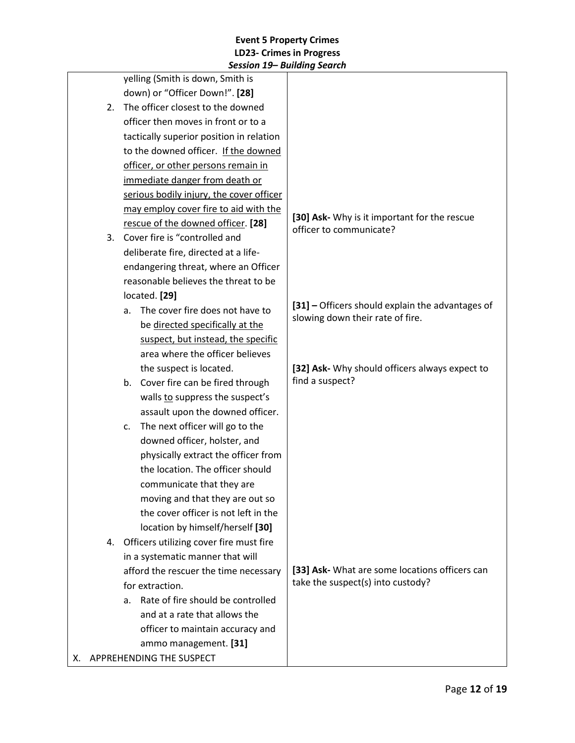|                                  | Jession IJ Dununiy Jeurun                |                                                                                      |
|----------------------------------|------------------------------------------|--------------------------------------------------------------------------------------|
|                                  | yelling (Smith is down, Smith is         |                                                                                      |
|                                  | down) or "Officer Down!". [28]           |                                                                                      |
| 2.                               | The officer closest to the downed        |                                                                                      |
|                                  | officer then moves in front or to a      |                                                                                      |
|                                  | tactically superior position in relation |                                                                                      |
|                                  | to the downed officer. If the downed     |                                                                                      |
|                                  | officer, or other persons remain in      |                                                                                      |
|                                  | immediate danger from death or           |                                                                                      |
|                                  | serious bodily injury, the cover officer |                                                                                      |
|                                  | may employ cover fire to aid with the    |                                                                                      |
|                                  | rescue of the downed officer. [28]       | [30] Ask- Why is it important for the rescue<br>officer to communicate?              |
| 3.                               | Cover fire is "controlled and            |                                                                                      |
|                                  | deliberate fire, directed at a life-     |                                                                                      |
|                                  | endangering threat, where an Officer     |                                                                                      |
|                                  | reasonable believes the threat to be     |                                                                                      |
|                                  | located. [29]                            |                                                                                      |
|                                  | The cover fire does not have to<br>a.    | [31] - Officers should explain the advantages of<br>slowing down their rate of fire. |
|                                  | be directed specifically at the          |                                                                                      |
|                                  | suspect, but instead, the specific       |                                                                                      |
|                                  | area where the officer believes          |                                                                                      |
|                                  | the suspect is located.                  | [32] Ask- Why should officers always expect to                                       |
|                                  | b. Cover fire can be fired through       | find a suspect?                                                                      |
|                                  | walls to suppress the suspect's          |                                                                                      |
| assault upon the downed officer. |                                          |                                                                                      |
|                                  | The next officer will go to the<br>c.    |                                                                                      |
|                                  | downed officer, holster, and             |                                                                                      |
|                                  | physically extract the officer from      |                                                                                      |
|                                  | the location. The officer should         |                                                                                      |
|                                  | communicate that they are                |                                                                                      |
|                                  | moving and that they are out so          |                                                                                      |
|                                  | the cover officer is not left in the     |                                                                                      |
|                                  | location by himself/herself [30]         |                                                                                      |
| 4.                               | Officers utilizing cover fire must fire  |                                                                                      |
|                                  | in a systematic manner that will         |                                                                                      |
|                                  | afford the rescuer the time necessary    | [33] Ask- What are some locations officers can                                       |
|                                  | for extraction.                          | take the suspect(s) into custody?                                                    |
|                                  | Rate of fire should be controlled<br>a.  |                                                                                      |
|                                  | and at a rate that allows the            |                                                                                      |
|                                  | officer to maintain accuracy and         |                                                                                      |
|                                  | ammo management. [31]                    |                                                                                      |
| X. APPREHENDING THE SUSPECT      |                                          |                                                                                      |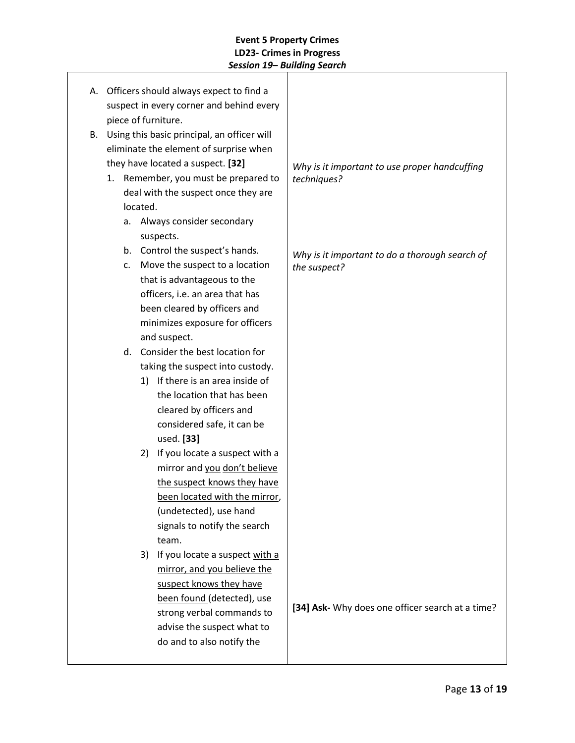|                     |    |                |          | A. Officers should always expect to find a  |                                                  |
|---------------------|----|----------------|----------|---------------------------------------------|--------------------------------------------------|
|                     |    |                |          | suspect in every corner and behind every    |                                                  |
| piece of furniture. |    |                |          |                                             |                                                  |
|                     | В. |                |          | Using this basic principal, an officer will |                                                  |
|                     |    |                |          | eliminate the element of surprise when      |                                                  |
|                     |    |                |          | they have located a suspect. [32]           | Why is it important to use proper handcuffing    |
|                     |    |                |          | 1. Remember, you must be prepared to        | techniques?                                      |
|                     |    |                |          | deal with the suspect once they are         |                                                  |
|                     |    |                | located. |                                             |                                                  |
|                     |    | a.             |          | Always consider secondary                   |                                                  |
|                     |    |                |          | suspects.                                   |                                                  |
|                     |    |                |          | b. Control the suspect's hands.             | Why is it important to do a thorough search of   |
|                     |    | $\mathsf{C}$ . |          | Move the suspect to a location              | the suspect?                                     |
|                     |    |                |          | that is advantageous to the                 |                                                  |
|                     |    |                |          | officers, i.e. an area that has             |                                                  |
|                     |    |                |          | been cleared by officers and                |                                                  |
|                     |    |                |          | minimizes exposure for officers             |                                                  |
|                     |    |                |          | and suspect.                                |                                                  |
|                     |    | d.             |          | Consider the best location for              |                                                  |
|                     |    |                |          | taking the suspect into custody.            |                                                  |
|                     |    |                |          | 1) If there is an area inside of            |                                                  |
|                     |    |                |          | the location that has been                  |                                                  |
|                     |    |                |          | cleared by officers and                     |                                                  |
|                     |    |                |          | considered safe, it can be                  |                                                  |
|                     |    |                |          | used. [33]                                  |                                                  |
|                     |    |                | 2)       | If you locate a suspect with a              |                                                  |
|                     |    |                |          | mirror and you don't believe                |                                                  |
|                     |    |                |          | the suspect knows they have                 |                                                  |
|                     |    |                |          | been located with the mirror,               |                                                  |
|                     |    |                |          | (undetected), use hand                      |                                                  |
|                     |    |                |          | signals to notify the search                |                                                  |
|                     |    |                |          | team.                                       |                                                  |
|                     |    |                | 3)       | If you locate a suspect with a              |                                                  |
|                     |    |                |          | mirror, and you believe the                 |                                                  |
|                     |    |                |          | suspect knows they have                     |                                                  |
|                     |    |                |          | been found (detected), use                  | [34] Ask- Why does one officer search at a time? |
|                     |    |                |          | strong verbal commands to                   |                                                  |
|                     |    |                |          | advise the suspect what to                  |                                                  |
|                     |    |                |          | do and to also notify the                   |                                                  |
|                     |    |                |          |                                             |                                                  |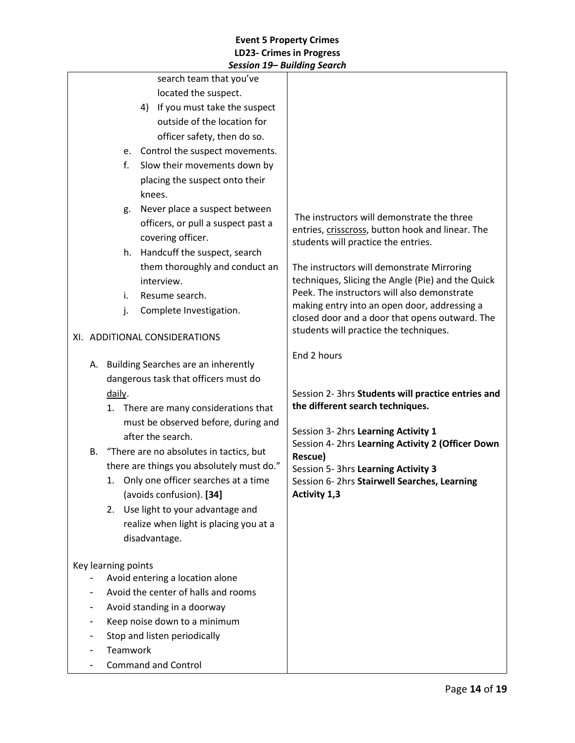|                               |                                                                 |          | session 15— Danamg search              |                                                                                                |
|-------------------------------|-----------------------------------------------------------------|----------|----------------------------------------|------------------------------------------------------------------------------------------------|
|                               |                                                                 |          | search team that you've                |                                                                                                |
|                               |                                                                 |          | located the suspect.                   |                                                                                                |
|                               |                                                                 |          | 4) If you must take the suspect        |                                                                                                |
|                               |                                                                 |          | outside of the location for            |                                                                                                |
|                               |                                                                 |          | officer safety, then do so.            |                                                                                                |
|                               |                                                                 |          | e. Control the suspect movements.      |                                                                                                |
|                               |                                                                 | f.       | Slow their movements down by           |                                                                                                |
|                               |                                                                 |          | placing the suspect onto their         |                                                                                                |
|                               |                                                                 |          | knees.                                 |                                                                                                |
|                               |                                                                 | g.       | Never place a suspect between          |                                                                                                |
|                               |                                                                 |          | officers, or pull a suspect past a     | The instructors will demonstrate the three<br>entries, crisscross, button hook and linear. The |
|                               |                                                                 |          | covering officer.                      | students will practice the entries.                                                            |
|                               |                                                                 | h.       | Handcuff the suspect, search           |                                                                                                |
|                               |                                                                 |          | them thoroughly and conduct an         | The instructors will demonstrate Mirroring                                                     |
|                               |                                                                 |          | interview.                             | techniques, Slicing the Angle (Pie) and the Quick                                              |
|                               |                                                                 | i.       | Resume search.                         | Peek. The instructors will also demonstrate                                                    |
|                               |                                                                 | j.       | Complete Investigation.                | making entry into an open door, addressing a                                                   |
|                               |                                                                 |          |                                        | closed door and a door that opens outward. The<br>students will practice the techniques.       |
| XI. ADDITIONAL CONSIDERATIONS |                                                                 |          |                                        |                                                                                                |
|                               |                                                                 |          |                                        | End 2 hours                                                                                    |
|                               | A. Building Searches are an inherently                          |          |                                        |                                                                                                |
|                               | dangerous task that officers must do<br>daily.                  |          |                                        |                                                                                                |
|                               |                                                                 |          |                                        | Session 2- 3hrs Students will practice entries and                                             |
|                               | 1. There are many considerations that                           |          |                                        | the different search techniques.                                                               |
|                               |                                                                 |          | must be observed before, during and    | Session 3- 2hrs Learning Activity 1                                                            |
|                               | after the search.<br>B. "There are no absolutes in tactics, but |          |                                        | Session 4- 2hrs Learning Activity 2 (Officer Down                                              |
|                               |                                                                 |          |                                        | Rescue)                                                                                        |
|                               | there are things you absolutely must do."                       |          |                                        | Session 5- 3hrs Learning Activity 3                                                            |
|                               | 1. Only one officer searches at a time                          |          |                                        | Session 6-2hrs Stairwell Searches, Learning                                                    |
|                               |                                                                 |          | (avoids confusion). [34]               | Activity 1,3                                                                                   |
|                               | 2.                                                              |          | Use light to your advantage and        |                                                                                                |
|                               |                                                                 |          | realize when light is placing you at a |                                                                                                |
|                               |                                                                 |          | disadvantage.                          |                                                                                                |
|                               |                                                                 |          |                                        |                                                                                                |
| Key learning points           |                                                                 |          | Avoid entering a location alone        |                                                                                                |
|                               |                                                                 |          | Avoid the center of halls and rooms    |                                                                                                |
|                               |                                                                 |          | Avoid standing in a doorway            |                                                                                                |
|                               |                                                                 |          | Keep noise down to a minimum           |                                                                                                |
|                               |                                                                 |          | Stop and listen periodically           |                                                                                                |
|                               |                                                                 | Teamwork |                                        |                                                                                                |
|                               |                                                                 |          | <b>Command and Control</b>             |                                                                                                |
|                               |                                                                 |          |                                        |                                                                                                |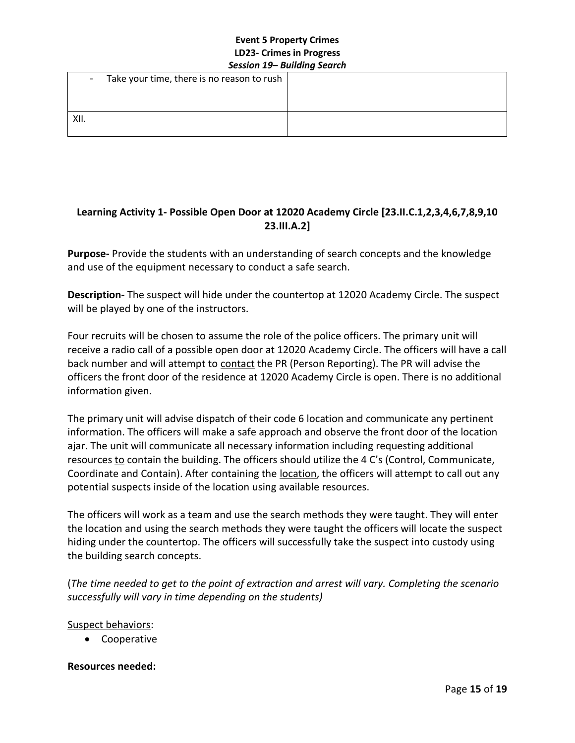| $\sim$ | Take your time, there is no reason to rush $ $ |  |
|--------|------------------------------------------------|--|
|        |                                                |  |
| XII.   |                                                |  |

# **Learning Activity 1- Possible Open Door at 12020 Academy Circle [23.II.C.1,2,3,4,6,7,8,9,10 23.III.A.2]**

**Purpose-** Provide the students with an understanding of search concepts and the knowledge and use of the equipment necessary to conduct a safe search.

**Description-** The suspect will hide under the countertop at 12020 Academy Circle. The suspect will be played by one of the instructors.

Four recruits will be chosen to assume the role of the police officers. The primary unit will receive a radio call of a possible open door at 12020 Academy Circle. The officers will have a call back number and will attempt to contact the PR (Person Reporting). The PR will advise the officers the front door of the residence at 12020 Academy Circle is open. There is no additional information given.

The primary unit will advise dispatch of their code 6 location and communicate any pertinent information. The officers will make a safe approach and observe the front door of the location ajar. The unit will communicate all necessary information including requesting additional resources to contain the building. The officers should utilize the 4 C's (Control, Communicate, Coordinate and Contain). After containing the **location**, the officers will attempt to call out any potential suspects inside of the location using available resources.

The officers will work as a team and use the search methods they were taught. They will enter the location and using the search methods they were taught the officers will locate the suspect hiding under the countertop. The officers will successfully take the suspect into custody using the building search concepts.

(*The time needed to get to the point of extraction and arrest will vary. Completing the scenario successfully will vary in time depending on the students)* 

## Suspect behaviors:

• Cooperative

## **Resources needed:**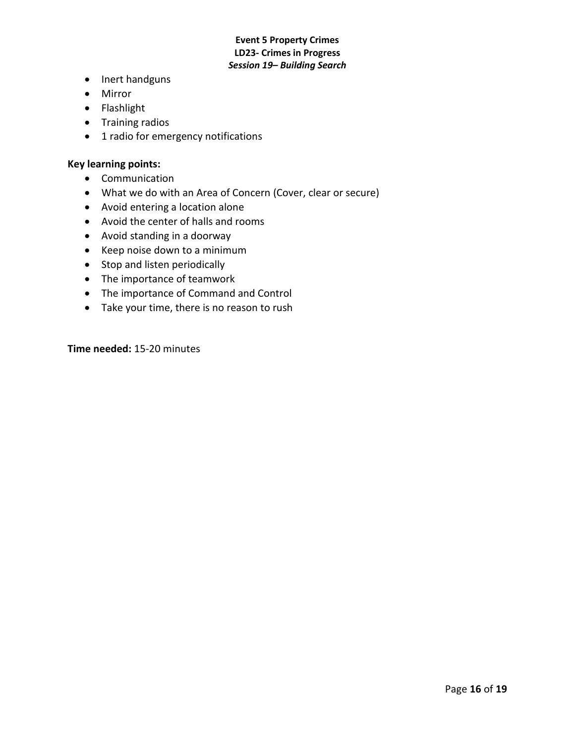- Inert handguns
- Mirror
- Flashlight
- Training radios
- 1 radio for emergency notifications

#### **Key learning points:**

- Communication
- What we do with an Area of Concern (Cover, clear or secure)
- Avoid entering a location alone
- Avoid the center of halls and rooms
- Avoid standing in a doorway
- Keep noise down to a minimum
- Stop and listen periodically
- The importance of teamwork
- The importance of Command and Control
- Take your time, there is no reason to rush

**Time needed:** 15-20 minutes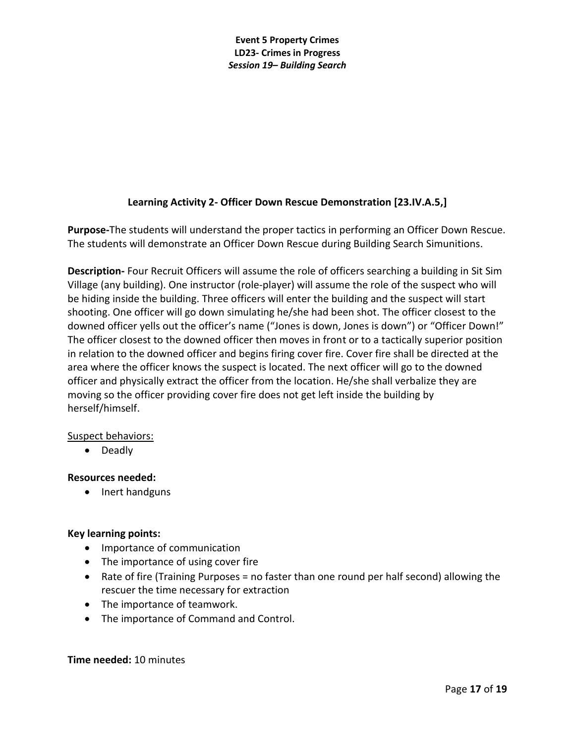# **Learning Activity 2- Officer Down Rescue Demonstration [23.IV.A.5,]**

**Purpose-**The students will understand the proper tactics in performing an Officer Down Rescue. The students will demonstrate an Officer Down Rescue during Building Search Simunitions.

**Description-** Four Recruit Officers will assume the role of officers searching a building in Sit Sim Village (any building). One instructor (role-player) will assume the role of the suspect who will be hiding inside the building. Three officers will enter the building and the suspect will start shooting. One officer will go down simulating he/she had been shot. The officer closest to the downed officer yells out the officer's name ("Jones is down, Jones is down") or "Officer Down!" The officer closest to the downed officer then moves in front or to a tactically superior position in relation to the downed officer and begins firing cover fire. Cover fire shall be directed at the area where the officer knows the suspect is located. The next officer will go to the downed officer and physically extract the officer from the location. He/she shall verbalize they are moving so the officer providing cover fire does not get left inside the building by herself/himself.

## Suspect behaviors:

• Deadly

## **Resources needed:**

• Inert handguns

# **Key learning points:**

- Importance of communication
- The importance of using cover fire
- Rate of fire (Training Purposes = no faster than one round per half second) allowing the rescuer the time necessary for extraction
- The importance of teamwork.
- The importance of Command and Control.

#### **Time needed:** 10 minutes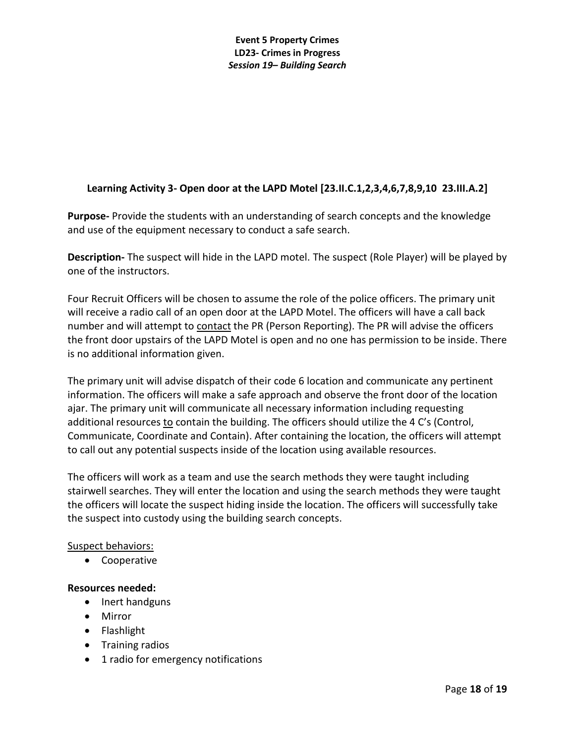# **Learning Activity 3- Open door at the LAPD Motel [23.II.C.1,2,3,4,6,7,8,9,10 23.III.A.2]**

**Purpose-** Provide the students with an understanding of search concepts and the knowledge and use of the equipment necessary to conduct a safe search.

**Description-** The suspect will hide in the LAPD motel. The suspect (Role Player) will be played by one of the instructors.

Four Recruit Officers will be chosen to assume the role of the police officers. The primary unit will receive a radio call of an open door at the LAPD Motel. The officers will have a call back number and will attempt to contact the PR (Person Reporting). The PR will advise the officers the front door upstairs of the LAPD Motel is open and no one has permission to be inside. There is no additional information given.

The primary unit will advise dispatch of their code 6 location and communicate any pertinent information. The officers will make a safe approach and observe the front door of the location ajar. The primary unit will communicate all necessary information including requesting additional resources to contain the building. The officers should utilize the 4 C's (Control, Communicate, Coordinate and Contain). After containing the location, the officers will attempt to call out any potential suspects inside of the location using available resources.

The officers will work as a team and use the search methods they were taught including stairwell searches. They will enter the location and using the search methods they were taught the officers will locate the suspect hiding inside the location. The officers will successfully take the suspect into custody using the building search concepts.

## Suspect behaviors:

• Cooperative

## **Resources needed:**

- Inert handguns
- Mirror
- Flashlight
- Training radios
- 1 radio for emergency notifications